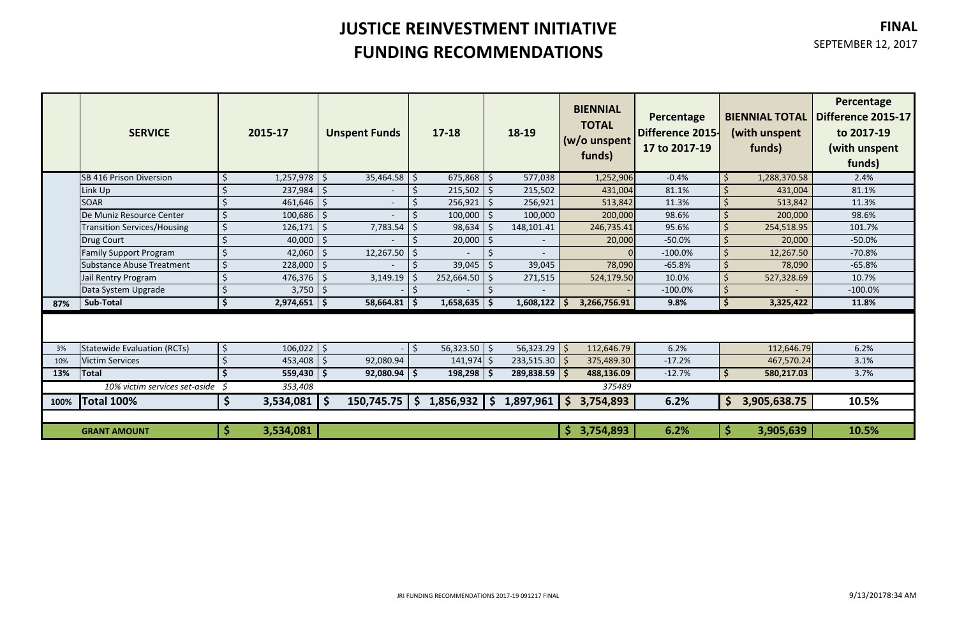# **JUSTICE REINVESTMENT INITIATIVE FUNDING RECOMMENDATIONS**

### **FINAL**

#### SEPTEMBER 12, 2017

|      | <b>SERVICE</b>                     |                         | 2015-17          |            | <b>Unspent Funds</b>       |         | 17-18             |              | 18-19            |    | <b>BIENNIAL</b><br><b>TOTAL</b><br>$(w/o$ unspent<br>funds) | Percentage<br><b>Difference 2015-</b><br>17 to 2017-19 |                    | <b>BIENNIAL TOTAL</b><br>(with unspent<br>funds) | Percentage<br><b>Difference 2015-17</b><br>to 2017-19<br>(with unspent<br>funds) |
|------|------------------------------------|-------------------------|------------------|------------|----------------------------|---------|-------------------|--------------|------------------|----|-------------------------------------------------------------|--------------------------------------------------------|--------------------|--------------------------------------------------|----------------------------------------------------------------------------------|
|      | <b>SB 416 Prison Diversion</b>     |                         | $1,257,978$   \$ |            | 35,464.58                  | $\zeta$ | 675,868           | l \$         | 577,038          |    | 1,252,906                                                   | $-0.4%$                                                | $\zeta$            | 1,288,370.58                                     | 2.4%                                                                             |
|      | Link Up                            |                         | 237,984          | ∣\$        |                            |         | $215,502$   \$    |              | 215,502          |    | 431,004                                                     | 81.1%                                                  |                    | 431,004                                          | 81.1%                                                                            |
|      | <b>SOAR</b>                        |                         | $461,646$ \$     |            | $\sim$                     |         | $256,921$   \$    |              | 256,921          |    | 513,842                                                     | 11.3%                                                  | <sup>5</sup>       | 513,842                                          | 11.3%                                                                            |
|      | De Muniz Resource Center           |                         | $100,686$ \$     |            |                            |         | 100,000           | l \$         | 100,000          |    | 200,000                                                     | 98.6%                                                  | <sup>5</sup>       | 200,000                                          | 98.6%                                                                            |
|      | <b>Transition Services/Housing</b> | $\overline{\mathsf{S}}$ | 126,171          | $\zeta$    | 7,783.54                   | Ś       | 98,634            | $\vert$ \$   | 148,101.41       |    | 246,735.41                                                  | 95.6%                                                  | <sup>5</sup>       | 254,518.95                                       | 101.7%                                                                           |
|      | <b>Drug Court</b>                  | Ś                       | 40,000           | -\$        |                            |         | 20,000            |              |                  |    | 20,000                                                      | $-50.0%$                                               | $\zeta$            | 20,000                                           | $-50.0%$                                                                         |
|      | <b>Family Support Program</b>      |                         | 42,060           | -\$        | 12,267.50                  |         |                   | <sup>S</sup> |                  |    |                                                             | $-100.0%$                                              | <sup>5</sup>       | 12,267.50                                        | $-70.8%$                                                                         |
|      | Substance Abuse Treatment          | Ś                       | 228,000          | $\vert$ \$ |                            | \$      | $39,045$   \$     |              | 39,045           |    | 78,090                                                      | $-65.8%$                                               | $\zeta$            | 78,090                                           | $-65.8%$                                                                         |
|      | Jail Rentry Program                |                         | 476,376          | l \$       | 3,149.19                   |         | $252,664.50$   \$ |              | 271,515          |    | 524,179.50                                                  | 10.0%                                                  |                    | 527,328.69                                       | 10.7%                                                                            |
|      | Data System Upgrade                |                         | $3,750$   \$     |            |                            |         |                   |              |                  |    |                                                             | $-100.0%$                                              | <sup>5</sup>       |                                                  | $-100.0%$                                                                        |
| 87%  | <b>Sub-Total</b>                   | 'S                      | $2,974,651$   \$ |            | $58,664.81$   \$           |         | $1,658,635$ \$    |              | 1,608,122        |    | 3,266,756.91                                                | 9.8%                                                   | $\mathsf{\hat{S}}$ | 3,325,422                                        | 11.8%                                                                            |
|      |                                    |                         |                  |            |                            |         |                   |              |                  |    |                                                             |                                                        |                    |                                                  |                                                                                  |
| 3%   | Statewide Evaluation (RCTs)        | S,                      | $106,022$   \$   |            |                            | $\zeta$ | $56,323.50$ \$    |              | 56,323.29        | -Ś | 112,646.79                                                  | 6.2%                                                   |                    | 112,646.79                                       | 6.2%                                                                             |
| 10%  | <b>Victim Services</b>             |                         | 453,408          | \$         | 92,080.94                  |         | $141,974$ \$      |              | 233,515.30       |    | 375,489.30                                                  | $-17.2%$                                               |                    | 467,570.24                                       | 3.1%                                                                             |
| 13%  | Total                              |                         | $559,430$   \$   |            | $92,080.94$ \$             |         | $198,298$   \$    |              | $289,838.59$ \$  |    | 488,136.09                                                  | $-12.7%$                                               | Ś                  | 580,217.03                                       | 3.7%                                                                             |
|      | 10% victim services set-aside      | - \$                    | 353,408          |            |                            |         |                   |              |                  |    | 375489                                                      |                                                        |                    |                                                  |                                                                                  |
| 100% | <b>Total 100%</b>                  | \$                      | $3,534,081$ \$   |            | $150,745.75$ $\frac{1}{5}$ |         | $1,856,932$ \$    |              | $1,897,961$   \$ |    | 3,754,893                                                   | 6.2%                                                   | \$                 | 3,905,638.75                                     | 10.5%                                                                            |
|      |                                    |                         |                  |            |                            |         |                   |              |                  |    |                                                             |                                                        |                    |                                                  |                                                                                  |
|      | <b>GRANT AMOUNT</b>                | S                       | 3,534,081        |            |                            |         |                   |              |                  |    | \$3,754,893                                                 | 6.2%                                                   | \$                 | 3,905,639                                        | 10.5%                                                                            |